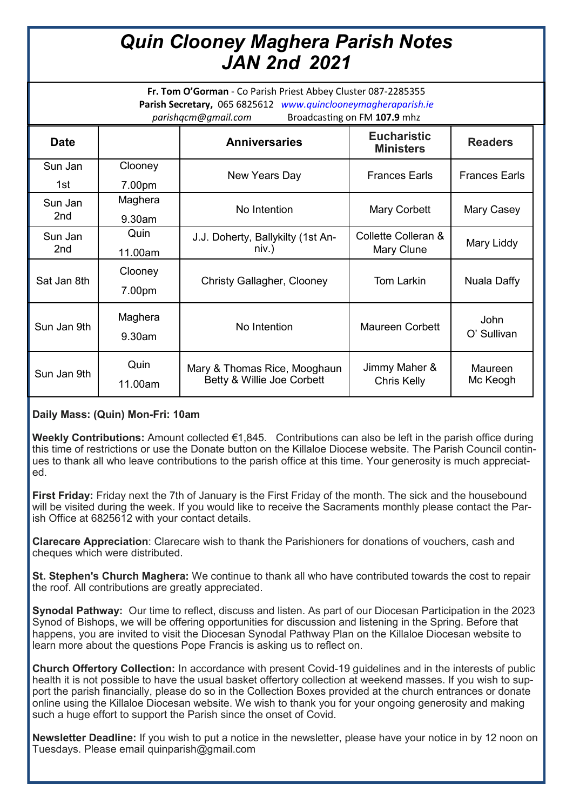## *Quin Clooney Maghera Parish Notes JAN 2nd 2021*

**Fr. Tom O'Gorman** - Co Parish Priest Abbey Cluster 087-2285355 **Parish Secretary,** 065 6825612 *www.quinclooneymagheraparish.ie parishqcm@gmail.com* Broadcasting on FM **107.9** mhz

| <b>Date</b>                |                      | <b>Anniversaries</b>                                       | <b>Eucharistic</b><br><b>Ministers</b> | <b>Readers</b>             |
|----------------------------|----------------------|------------------------------------------------------------|----------------------------------------|----------------------------|
| Sun Jan<br>1st             | Clooney<br>7.00pm    | New Years Day                                              | <b>Frances Earls</b>                   | <b>Frances Earls</b>       |
| Sun Jan<br>2 <sub>nd</sub> | Maghera<br>$9.30$ am | No Intention                                               | <b>Mary Corbett</b>                    | Mary Casey                 |
| Sun Jan<br>2 <sub>nd</sub> | Quin<br>11.00am      | J.J. Doherty, Ballykilty (1st An-<br>niv.)                 | Collette Colleran &<br>Mary Clune      | Mary Liddy                 |
| Sat Jan 8th                | Clooney<br>7.00pm    | Christy Gallagher, Clooney                                 | Tom Larkin                             | Nuala Daffy                |
| Sun Jan 9th                | Maghera<br>9.30am    | No Intention                                               | Maureen Corbett                        | <b>John</b><br>O' Sullivan |
| Sun Jan 9th                | Quin<br>11.00am      | Mary & Thomas Rice, Mooghaun<br>Betty & Willie Joe Corbett | Jimmy Maher &<br>Chris Kelly           | <b>Maureen</b><br>Mc Keogh |

## **Daily Mass: (Quin) Mon-Fri: 10am**

**Weekly Contributions:** Amount collected €1,845. Contributions can also be left in the parish office during this time of restrictions or use the Donate button on the Killaloe Diocese website. The Parish Council continues to thank all who leave contributions to the parish office at this time. Your generosity is much appreciated.

**First Friday:** Friday next the 7th of January is the First Friday of the month. The sick and the housebound will be visited during the week. If you would like to receive the Sacraments monthly please contact the Parish Office at 6825612 with your contact details.

**Clarecare Appreciation**: Clarecare wish to thank the Parishioners for donations of vouchers, cash and cheques which were distributed.

**St. Stephen's Church Maghera:** We continue to thank all who have contributed towards the cost to repair the roof. All contributions are greatly appreciated.

**Synodal Pathway:** Our time to reflect, discuss and listen. As part of our Diocesan Participation in the 2023 Synod of Bishops, we will be offering opportunities for discussion and listening in the Spring. Before that happens, you are invited to visit the Diocesan Synodal Pathway Plan on the Killaloe Diocesan website to learn more about the questions Pope Francis is asking us to reflect on.

**Church Offertory Collection:** In accordance with present Covid-19 guidelines and in the interests of public health it is not possible to have the usual basket offertory collection at weekend masses. If you wish to support the parish financially, please do so in the Collection Boxes provided at the church entrances or donate online using the Killaloe Diocesan website. We wish to thank you for your ongoing generosity and making such a huge effort to support the Parish since the onset of Covid.

**Newsletter Deadline:** If you wish to put a notice in the newsletter, please have your notice in by 12 noon on Tuesdays. Please email quinparish@gmail.com